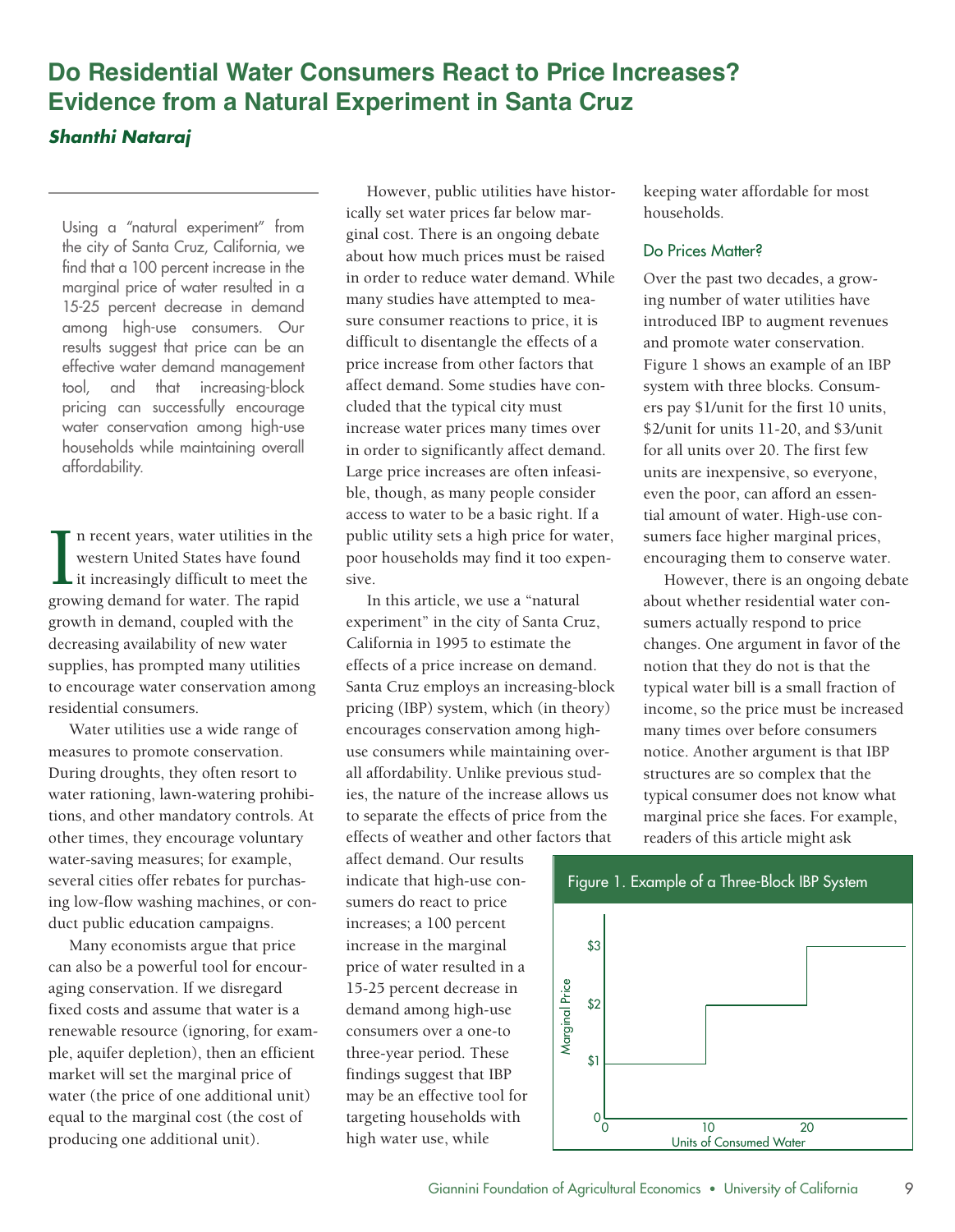# **Do Residential Water Consumers React to Price Increases? Evidence from a Natural Experiment in Santa Cruz**

# *Shanthi Nataraj*

Using a "natural experiment" from effective water demand management

In recent years, water utilities in the public utility sets a high price for water, sumers face higher marginal prices, poor households may find it too expen-<br>it increasingly difficult to meet the sive. However, there is a n recent years, water utilities in the western United States have found it increasingly difficult to meet the

water rationing, lawn-watering prohibiother times, they encourage voluntary water-saving measures; for example, several cities offer rebates for purchasing low-flow washing machines, or conduct public education campaigns.

Many economists argue that price can also be a powerful tool for encouraging conservation. If we disregard fixed costs and assume that water is a renewable resource (ignoring, for example, aquifer depletion), then an efficient market will set the marginal price of water (the price of one additional unit) equal to the marginal cost (the cost of producing one additional unit).

However, public utilities have historically set water prices far below marginal cost. There is an ongoing debate about how much prices must be raised in order to reduce water demand. While many studies have attempted to measure consumer reactions to price, it is difficult to disentangle the effects of a price increase from other factors that affect demand. Some studies have concluded that the typical city must water conservation among high-use increase water prices many times over \$2/unit for units 11-20, and \$3/unit households while maintaining overall in order to significantly affect demand. If or all units over 20. The first few Large price increases are often infeasi-affordability. units are inexpensive, so everyone, ble, though, as many people consider access to water to be a basic right. If a public utility sets a high price for water, poor households may find it too expenthe city of Santa Cruz, California, we about how much prices must be raised Do Prices Matter?<br>
find that a 100 percent increase in the Find that a 100 percent increase in the<br>
marginal price of water resulted in a<br>
15-25 percent decrease in demand<br>
among high-use consumers. Our sure consumer reactions to price, it is introduced IBP to augment revenues results suggest that price can be an difficult to disentangle the effects of a and promote water conservation.<br>
effective water demand management price increase from other factors that Figure 1 shows an example of an IBP tool, and that increasing-block affect-demand. Some studies have con- system with three blocks. Consumpricing can successfully encourage cluded that the typical city must ers pay \$1/unit for the first 10 units, sive. However, there is an ongoing debate

tions, and other mandatory controls. At to separate the effects of price from the marginal price she faces. For example, In this article, we use a "natural growth in demand, coupled with the experiment" in the city of Santa Cruz, sumers actually respond to price California in 1995 to estimate the effects of a price increase on demand. to encourage water conservation among Santa Cruz employs an increasing-block typical water bill is a small fraction of pricing (IBP) system, which (in theory) Water utilities use a wide range of encourages conservation among high- many times over before consumers use consumers while maintaining overall affordability. Unlike previous studies, the nature of the increase allows us to separate the effects of price from the effects of weather and other factors that decreasing availability of new water California in 1995 to estimate the changes. One argument in favor of the supplies, has prompted many utilities effects of a price increase on demand. The notion that they do not is that the residential consumers. pricing (IBP) system, which (in theory) income, so the price must be increased measures to promote conservation. The use consumers while maintaining over- notice. Another argument is that IBP During droughts, they often resort to all affordability. Unlike previous stud-<br>structures are so complex that the

> affect demand. Our results indicate that high-use consumers do react to price increases; a 100 percent increase in the marginal price of water resulted in a 15-25 percent decrease in demand among high-use consumers over a one-to three-year period. These findings suggest that IBP may be an effective tool for targeting households with high water use, while

keeping water affordable for most households.

even the poor, can afford an essential amount of water. High-use consumers face higher marginal prices, encouraging them to conserve water.

typical consumer does not know what readers of this article might ask

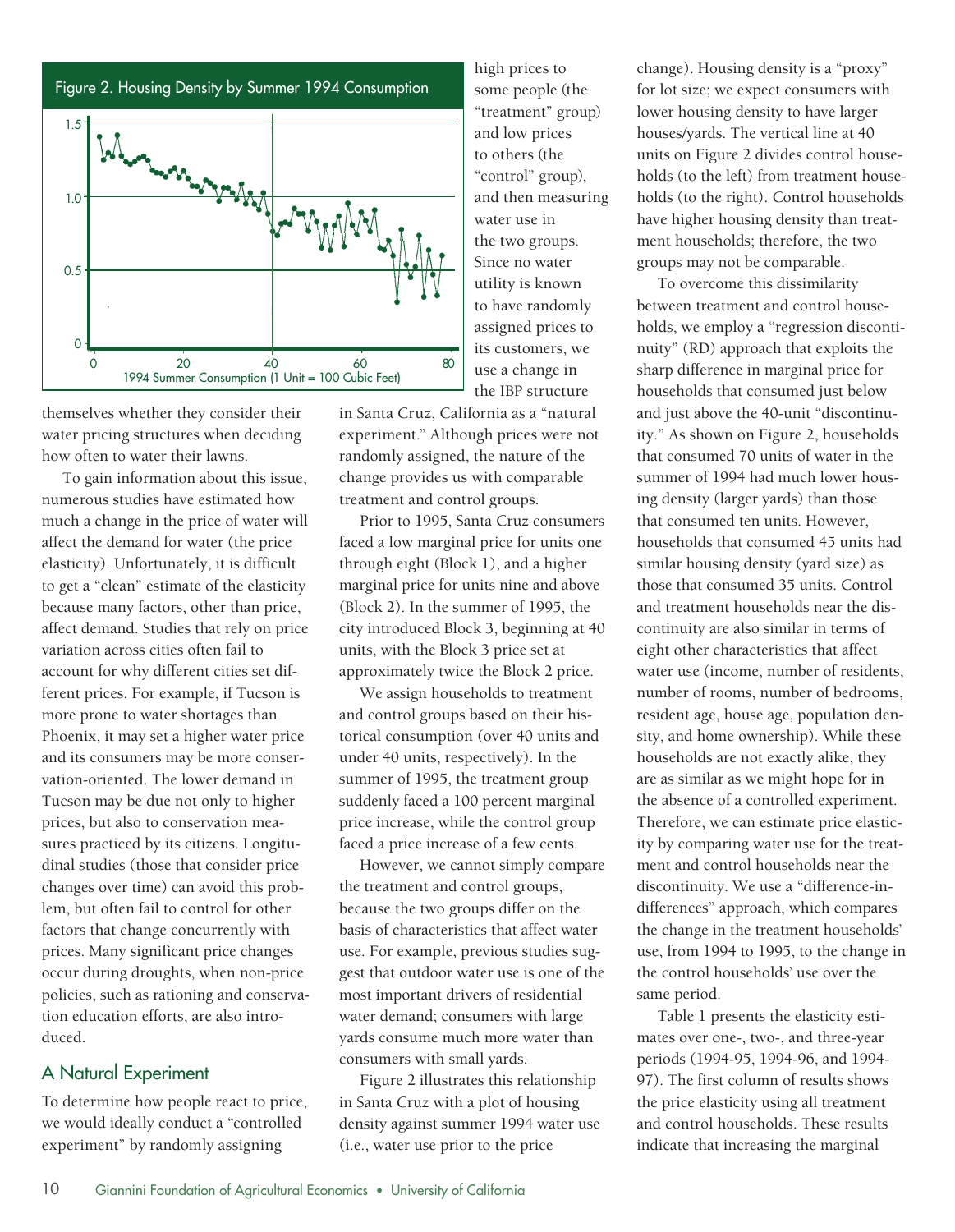



 themselves whether they consider their water pricing structures when deciding how often to water their lawns.

 To gain information about this issue, numerous studies have estimated how much a change in the price of water will affect the demand for water (the price elasticity). Unfortunately, it is difficult to get a "clean" estimate of the elasticity because many factors, other than price, affect demand. Studies that rely on price variation across cities often fail to account for why different cities set dif- ferent prices. For example, if Tucson is more prone to water shortages than Phoenix, it may set a higher water price and its consumers may be more conser- vation-oriented. The lower demand in Tucson may be due not only to higher prices, but also to conservation mea- sures practiced by its citizens. Longitu- dinal studies (those that consider price changes over time) can avoid this prob- lem, but often fail to control for other factors that change concurrently with prices. Many significant price changes occur during droughts, when non-price policies, such as rationing and conserva- tion education efforts, are also introduced.

# A Natural Experiment

 To determine how people react to price, we would ideally conduct a "controlled experiment" by randomly assigning

 high prices to some people (the and low prices to others (the and then measuring water use in the two groups. Since no water utility is known to have randomly assigned prices to its customers, we use a change in the IBP structure "treatment" group) "control" group),

 in Santa Cruz, California as a "natural experiment." Although prices were not randomly assigned, the nature of the change provides us with comparable treatment and control groups.

 Prior to 1995, Santa Cruz consumers faced a low marginal price for units one through eight (Block 1), and a higher marginal price for units nine and above (Block 2). In the summer of 1995, the city introduced Block 3, beginning at 40 units, with the Block 3 price set at approximately twice the Block 2 price.

 We assign households to treatment and control groups based on their his- torical consumption (over 40 units and under 40 units, respectively). In the summer of 1995, the treatment group suddenly faced a 100 percent marginal price increase, while the control group faced a price increase of a few cents.

 However, we cannot simply compare the treatment and control groups, because the two groups differ on the basis of characteristics that affect water use. For example, previous studies sug- gest that outdoor water use is one of the most important drivers of residential water demand; consumers with large yards consume much more water than consumers with small yards.

 Figure 2 illustrates this relationship in Santa Cruz with a plot of housing density against summer 1994 water use (i.e., water use prior to the price

 change). Housing density is a "proxy" for lot size; we expect consumers with lower housing density to have larger houses/yards. The vertical line at 40 units on Figure 2 divides control house- holds (to the left) from treatment house- holds (to the right). Control households have higher housing density than treat- ment households; therefore, the two groups may not be comparable.

 To overcome this dissimilarity between treatment and control house- holds, we employ a "regression disconti- nuity" (RD) approach that exploits the sharp difference in marginal price for households that consumed just below and just above the 40-unit "discontinu- ity." As shown on Figure 2, households that consumed 70 units of water in the summer of 1994 had much lower hous- ing density (larger yards) than those that consumed ten units. However, households that consumed 45 units had similar housing density (yard size) as those that consumed 35 units. Control and treatment households near the dis- continuity are also similar in terms of eight other characteristics that affect water use (income, number of residents, number of rooms, number of bedrooms, resident age, house age, population den- sity, and home ownership). While these households are not exactly alike, they are as similar as we might hope for in the absence of a controlled experiment. Therefore, we can estimate price elastic- ity by comparing water use for the treat- ment and control households near the discontinuity. We use a "difference-in- differences" approach, which compares the change in the treatment households' use, from 1994 to 1995, to the change in the control households' use over the same period.

 Table 1 presents the elasticity esti- mates over one-, two-, and three-year periods (1994-95, 1994-96, and 1994 97). The first column of results shows the price elasticity using all treatment and control households. These results indicate that increasing the marginal